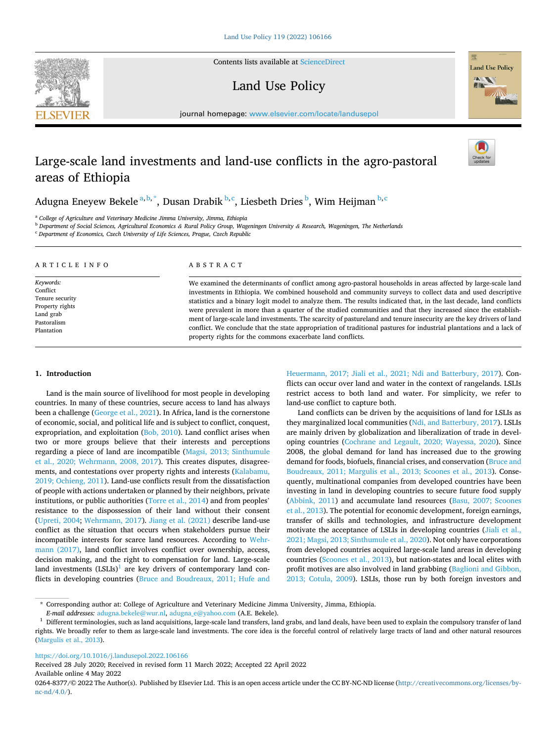Contents lists available at [ScienceDirect](www.sciencedirect.com/science/journal/02648377)

# Land Use Policy

journal homepage: [www.elsevier.com/locate/landusepol](https://www.elsevier.com/locate/landusepol)

# Large-scale land investments and land-use conflicts in the agro-pastoral areas of Ethiopia

Adugna Eneyew Bekele<sup>a, b,\*</sup>, Dusan Drabik <sup>b,c</sup>, Liesbeth Dries <sup>b</sup>, Wim Heijman <sup>b,c</sup>

<sup>a</sup> *College of Agriculture and Veterinary Medicine Jimma University, Jimma, Ethiopia* 

<sup>b</sup> *Department of Social Sciences, Agricultural Economics & Rural Policy Group, Wageningen University & Research, Wageningen, The Netherlands* 

<sup>c</sup> *Department of Economics, Czech University of Life Sciences, Prague, Czech Republic* 

| ARTICLE INFO    | ABSTRACT                                                                                                            |
|-----------------|---------------------------------------------------------------------------------------------------------------------|
| Keywords:       | We examined the determinants of conflict among agro-pastoral households in areas affected by large-scale land       |
| Conflict        | investments in Ethiopia. We combined household and community surveys to collect data and used descriptive           |
| Tenure security | statistics and a binary logit model to analyze them. The results indicated that, in the last decade, land conflicts |
| Property rights | were prevalent in more than a quarter of the studied communities and that they increased since the establish-       |
| Land grab       | ment of large-scale land investments. The scarcity of pastureland and tenure insecurity are the key drivers of land |
| Pastoralism     | conflict. We conclude that the state appropriation of traditional pastures for industrial plantations and a lack of |
| Plantation      | property rights for the commons exacerbate land conflicts.                                                          |

## **1. Introduction**

Land is the main source of livelihood for most people in developing countries. In many of these countries, secure access to land has always been a challenge ([George et al., 2021](#page-9-0)). In Africa, land is the cornerstone of economic, social, and political life and is subject to conflict, conquest, expropriation, and exploitation ([Bob, 2010](#page-9-0)). Land conflict arises when two or more groups believe that their interests and perceptions regarding a piece of land are incompatible ([Magsi, 2013; Sinthumule](#page-9-0)  [et al., 2020; Wehrmann, 2008, 2017](#page-9-0)). This creates disputes, disagreements, and contestations over property rights and interests [\(Kalabamu,](#page-9-0)  [2019; Ochieng, 2011\)](#page-9-0). Land-use conflicts result from the dissatisfaction of people with actions undertaken or planned by their neighbors, private institutions, or public authorities ([Torre et al., 2014\)](#page-10-0) and from peoples' resistance to the dispossession of their land without their consent ([Upreti, 2004; Wehrmann, 2017\)](#page-10-0). [Jiang et al. \(2021\)](#page-9-0) describe land-use conflict as the situation that occurs when stakeholders pursue their incompatible interests for scarce land resources. According to [Wehr](#page-10-0)[mann \(2017\)](#page-10-0), land conflict involves conflict over ownership, access, decision making, and the right to compensation for land. Large-scale land investments  $(LSLIs)^{1}$  are key drivers of contemporary land conflicts in developing countries ([Bruce and Boudreaux, 2011; Hufe and](#page-9-0) 

[Heuermann, 2017; Jiali et al., 2021; Ndi and Batterbury, 2017](#page-9-0)). Conflicts can occur over land and water in the context of rangelands. LSLIs restrict access to both land and water. For simplicity, we refer to land-use conflict to capture both.

Land conflicts can be driven by the acquisitions of land for LSLIs as they marginalized local communities ([Ndi, and Batterbury, 2017](#page-10-0)). LSLIs are mainly driven by globalization and liberalization of trade in developing countries ([Cochrane and Legault, 2020; Wayessa, 2020](#page-9-0)). Since 2008, the global demand for land has increased due to the growing demand for foods, biofuels, financial crises, and conservation ([Bruce and](#page-9-0)  [Boudreaux, 2011; Margulis et al., 2013; Scoones et al., 2013\)](#page-9-0). Consequently, multinational companies from developed countries have been investing in land in developing countries to secure future food supply ([Abbink, 2011\)](#page-9-0) and accumulate land resources ([Basu, 2007; Scoones](#page-9-0)  [et al., 2013\)](#page-9-0). The potential for economic development, foreign earnings, transfer of skills and technologies, and infrastructure development motivate the acceptance of LSLIs in developing countries ([Jiali et al.,](#page-9-0)  [2021; Magsi, 2013; Sinthumule et al., 2020](#page-9-0)). Not only have corporations from developed countries acquired large-scale land areas in developing countries ([Scoones et al., 2013\)](#page-10-0), but nation-states and local elites with profit motives are also involved in land grabbing [\(Baglioni and Gibbon,](#page-9-0)  [2013; Cotula, 2009](#page-9-0)). LSLIs, those run by both foreign investors and

<https://doi.org/10.1016/j.landusepol.2022.106166>

Available online 4 May 2022 Received 28 July 2020; Received in revised form 11 March 2022; Accepted 22 April 2022







<sup>\*</sup> Corresponding author at: College of Agriculture and Veterinary Medicine Jimma University, Jimma, Ethiopia.

E-mail addresses: [adugna.bekele@wur.nl](mailto:adugna.bekele@wur.nl), [adugna\\_e@yahoo.com](mailto:adugna_e@yahoo.com) (A.E. Bekele).<br><sup>1</sup> Different terminologies, such as land acquisitions, large-scale land transfers, land grabs, and land deals, have been used to explain the compu rights. We broadly refer to them as large-scale land investments. The core idea is the forceful control of relatively large tracts of land and other natural resources [\(Margulis et al., 2013](#page-9-0)).

<sup>0264-8377/© 2022</sup> The Author(s). Published by Elsevier Ltd. This is an open access article under the CC BY-NC-ND license([http://creativecommons.org/licenses/by](http://creativecommons.org/licenses/by-nc-nd/4.0/) $nc\text{-}nd/4.0/$ ).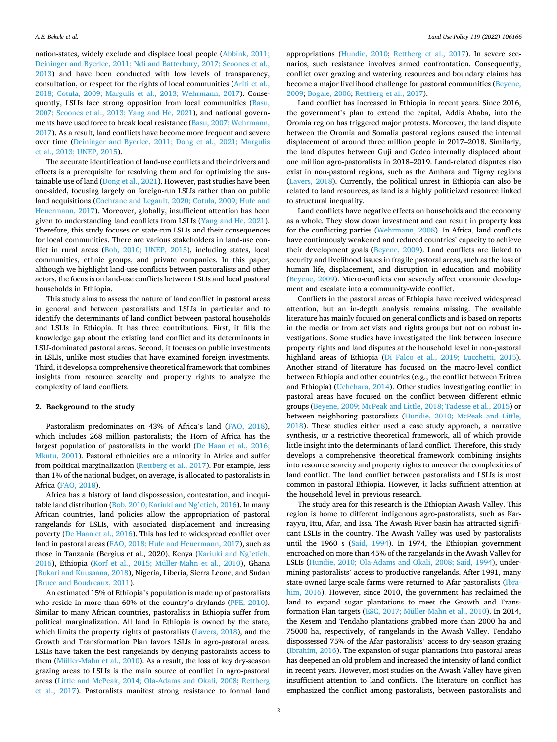nation-states, widely exclude and displace local people [\(Abbink, 2011;](#page-9-0)  [Deininger and Byerlee, 2011; Ndi and Batterbury, 2017; Scoones et al.,](#page-9-0)  [2013\)](#page-9-0) and have been conducted with low levels of transparency, consultation, or respect for the rights of local communities [\(Ariti et al.,](#page-9-0)  [2018; Cotula, 2009; Margulis et al., 2013; Wehrmann, 2017\)](#page-9-0). Consequently, LSLIs face strong opposition from local communities (Basu, [2007; Scoones et al., 2013; Yang and He, 2021](#page-9-0)), and national governments have used force to break local resistance ([Basu, 2007; Wehrmann,](#page-9-0)  [2017\)](#page-9-0). As a result, land conflicts have become more frequent and severe over time ([Deininger and Byerlee, 2011; Dong et al., 2021; Margulis](#page-9-0)  [et al., 2013; UNEP, 2015\)](#page-9-0).

The accurate identification of land-use conflicts and their drivers and effects is a prerequisite for resolving them and for optimizing the sus-tainable use of land ([Dong et al., 2021\)](#page-9-0). However, past studies have been one-sided, focusing largely on foreign-run LSLIs rather than on public land acquisitions [\(Cochrane and Legault, 2020; Cotula, 2009; Hufe and](#page-9-0)  [Heuermann, 2017\)](#page-9-0). Moreover, globally, insufficient attention has been given to understanding land conflicts from LSLIs [\(Yang and He, 2021](#page-10-0)). Therefore, this study focuses on state-run LSLIs and their consequences for local communities. There are various stakeholders in land-use conflict in rural areas ([Bob, 2010; UNEP, 2015](#page-9-0)), including states, local communities, ethnic groups, and private companies. In this paper, although we highlight land-use conflicts between pastoralists and other actors, the focus is on land-use conflicts between LSLIs and local pastoral households in Ethiopia.

This study aims to assess the nature of land conflict in pastoral areas in general and between pastoralists and LSLIs in particular and to identify the determinants of land conflict between pastoral households and LSLIs in Ethiopia. It has three contributions. First, it fills the knowledge gap about the existing land conflict and its determinants in LSLI-dominated pastoral areas. Second, it focuses on public investments in LSLIs, unlike most studies that have examined foreign investments. Third, it develops a comprehensive theoretical framework that combines insights from resource scarcity and property rights to analyze the complexity of land conflicts.

#### **2. Background to the study**

Pastoralism predominates on 43% of Africa's land ([FAO, 2018](#page-9-0)), which includes 268 million pastoralists; the Horn of Africa has the largest population of pastoralists in the world [\(De Haan et al., 2016;](#page-9-0)  [Mkutu, 2001\)](#page-9-0). Pastoral ethnicities are a minority in Africa and suffer from political marginalization [\(Rettberg et al., 2017\)](#page-10-0). For example, less than 1% of the national budget, on average, is allocated to pastoralists in Africa [\(FAO, 2018](#page-9-0)).

Africa has a history of land dispossession, contestation, and inequitable land distribution ([Bob, 2010; Kariuki and Ng](#page-9-0)'etich, 2016). In many African countries, land policies allow the appropriation of pastoral rangelands for LSLIs, with associated displacement and increasing poverty ([De Haan et al., 2016\)](#page-9-0). This has led to widespread conflict over land in pastoral areas [\(FAO, 2018; Hufe and Heuermann, 2017](#page-9-0)), such as those in Tanzania (Bergius et al., 2020), Kenya [\(Kariuki and Ng](#page-9-0)'etich, [2016\)](#page-9-0), Ethiopia ([Korf et al., 2015; Müller-Mahn et al., 2010](#page-9-0)), Ghana ([Bukari and Kuusaana, 2018](#page-9-0)), Nigeria, Liberia, Sierra Leone, and Sudan ([Bruce and Boudreaux, 2011\)](#page-9-0).

An estimated 15% of Ethiopia's population is made up of pastoralists who reside in more than 60% of the country's drylands ([PFE, 2010](#page-10-0)). Similar to many African countries, pastoralists in Ethiopia suffer from political marginalization. All land in Ethiopia is owned by the state, which limits the property rights of pastoralists ([Lavers, 2018](#page-9-0)), and the Growth and Transformation Plan favors LSLIs in agro-pastoral areas. LSLIs have taken the best rangelands by denying pastoralists access to them ([Müller-Mahn et al., 2010](#page-9-0)). As a result, the loss of key dry-season grazing areas to LSLIs is the main source of conflict in agro-pastoral areas ([Little and McPeak, 2014; Ola-Adams and Okali, 2008;](#page-9-0) [Rettberg](#page-10-0)  [et al., 2017](#page-10-0)). Pastoralists manifest strong resistance to formal land appropriations [\(Hundie, 2010;](#page-9-0) [Rettberg et al., 2017](#page-10-0)). In severe scenarios, such resistance involves armed confrontation. Consequently, conflict over grazing and watering resources and boundary claims has become a major livelihood challenge for pastoral communities [\(Beyene,](#page-9-0)  [2009; Bogale, 2006](#page-9-0); [Rettberg et al., 2017\)](#page-10-0).

Land conflict has increased in Ethiopia in recent years. Since 2016, the government's plan to extend the capital, Addis Ababa, into the Oromia region has triggered major protests. Moreover, the land dispute between the Oromia and Somalia pastoral regions caused the internal displacement of around three million people in 2017–2018. Similarly, the land disputes between Guji and Gedeo internally displaced about one million agro-pastoralists in 2018–2019. Land-related disputes also exist in non-pastoral regions, such as the Amhara and Tigray regions ([Lavers, 2018\)](#page-9-0). Currently, the political unrest in Ethiopia can also be related to land resources, as land is a highly politicized resource linked to structural inequality.

Land conflicts have negative effects on households and the economy as a whole. They slow down investment and can result in property loss for the conflicting parties ([Wehrmann, 2008](#page-10-0)). In Africa, land conflicts have continuously weakened and reduced countries' capacity to achieve their development goals [\(Beyene, 2009\)](#page-9-0). Land conflicts are linked to security and livelihood issues in fragile pastoral areas, such as the loss of human life, displacement, and disruption in education and mobility ([Beyene, 2009\)](#page-9-0). Micro-conflicts can severely affect economic development and escalate into a community-wide conflict.

Conflicts in the pastoral areas of Ethiopia have received widespread attention, but an in-depth analysis remains missing. The available literature has mainly focused on general conflicts and is based on reports in the media or from activists and rights groups but not on robust investigations. Some studies have investigated the link between insecure property rights and land disputes at the household level in non-pastoral highland areas of Ethiopia ([Di Falco et al., 2019; Lucchetti, 2015](#page-9-0)). Another strand of literature has focused on the macro-level conflict between Ethiopia and other countries (e.g., the conflict between Eritrea and Ethiopia) [\(Uchehara, 2014\)](#page-10-0). Other studies investigating conflict in pastoral areas have focused on the conflict between different ethnic groups [\(Beyene, 2009; McPeak and Little, 2018; Tadesse et al., 2015](#page-9-0)) or between neighboring pastoralists [\(Hundie, 2010; McPeak and Little,](#page-9-0)  [2018\)](#page-9-0). These studies either used a case study approach, a narrative synthesis, or a restrictive theoretical framework, all of which provide little insight into the determinants of land conflict. Therefore, this study develops a comprehensive theoretical framework combining insights into resource scarcity and property rights to uncover the complexities of land conflict. The land conflict between pastoralists and LSLIs is most common in pastoral Ethiopia. However, it lacks sufficient attention at the household level in previous research.

The study area for this research is the Ethiopian Awash Valley. This region is home to different indigenous agro-pastoralists, such as Karrayyu, Ittu, Afar, and Issa. The Awash River basin has attracted significant LSLIs in the country. The Awash Valley was used by pastoralists until the 1960 s ([Said, 1994\)](#page-10-0). In 1974, the Ethiopian government encroached on more than 45% of the rangelands in the Awash Valley for LSLIs ([Hundie, 2010; Ola-Adams and Okali, 2008; Said, 1994\)](#page-9-0), undermining pastoralists' access to productive rangelands. After 1991, many state-owned large-scale farms were returned to Afar pastoralists ([Ibra](#page-9-0)[him, 2016\)](#page-9-0). However, since 2010, the government has reclaimed the land to expand sugar plantations to meet the Growth and Transformation Plan targets ([ESC, 2017; Müller-Mahn et al., 2010](#page-9-0)). In 2014, the Kesem and Tendaho plantations grabbed more than 2000 ha and 75000 ha, respectively, of rangelands in the Awash Valley. Tendaho dispossessed 75% of the Afar pastoralists' access to dry-season grazing ([Ibrahim, 2016](#page-9-0)). The expansion of sugar plantations into pastoral areas has deepened an old problem and increased the intensity of land conflict in recent years. However, most studies on the Awash Valley have given insufficient attention to land conflicts. The literature on conflict has emphasized the conflict among pastoralists, between pastoralists and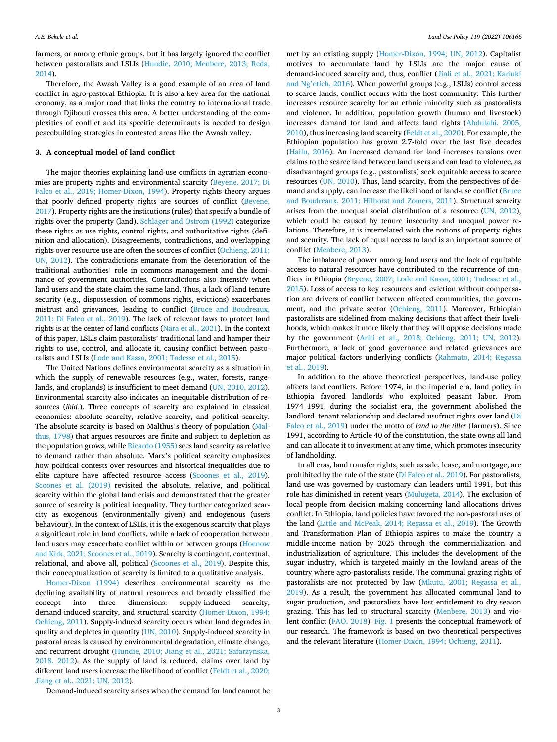<span id="page-2-0"></span>farmers, or among ethnic groups, but it has largely ignored the conflict between pastoralists and LSLIs [\(Hundie, 2010; Menbere, 2013; Reda,](#page-9-0)  [2014\)](#page-9-0).

Therefore, the Awash Valley is a good example of an area of land conflict in agro-pastoral Ethiopia. It is also a key area for the national economy, as a major road that links the country to international trade through Djibouti crosses this area. A better understanding of the complexities of conflict and its specific determinants is needed to design peacebuilding strategies in contested areas like the Awash valley.

## **3. A conceptual model of land conflict**

The major theories explaining land-use conflicts in agrarian economies are property rights and environmental scarcity ([Beyene, 2017; Di](#page-9-0)  [Falco et al., 2019; Homer-Dixon, 1994\)](#page-9-0). Property rights theory argues that poorly defined property rights are sources of conflict [\(Beyene,](#page-9-0)  [2017\)](#page-9-0). Property rights are the institutions (rules) that specify a bundle of rights over the property (land). [Schlager and Ostrom \(1992\)](#page-10-0) categorize these rights as use rights, control rights, and authoritative rights (definition and allocation). Disagreements, contradictions, and overlapping rights over resource use are often the sources of conflict [\(Ochieng, 2011;](#page-10-0)  [UN, 2012](#page-10-0)). The contradictions emanate from the deterioration of the traditional authorities' role in commons management and the dominance of government authorities. Contradictions also intensify when land users and the state claim the same land. Thus, a lack of land tenure security (e.g., dispossession of commons rights, evictions) exacerbates mistrust and grievances, leading to conflict ([Bruce and Boudreaux,](#page-9-0)  [2011; Di Falco et al., 2019](#page-9-0)). The lack of relevant laws to protect land rights is at the center of land conflicts [\(Nara et al., 2021](#page-10-0)). In the context of this paper, LSLIs claim pastoralists' traditional land and hamper their rights to use, control, and allocate it, causing conflict between pastoralists and LSLIs [\(Lode and Kassa, 2001; Tadesse et al., 2015\)](#page-9-0).

The United Nations defines environmental scarcity as a situation in which the supply of renewable resources (e.g., water, forests, rangelands, and croplands) is insufficient to meet demand [\(UN, 2010, 2012](#page-10-0)). Environmental scarcity also indicates an inequitable distribution of resources (*ibid.*). Three concepts of scarcity are explained in classical economics: absolute scarcity, relative scarcity, and political scarcity. The absolute scarcity is based on Malthus's theory of population ([Mal](#page-9-0)[thus, 1798](#page-9-0)) that argues resources are finite and subject to depletion as the population grows, while [Ricardo \(1955\)](#page-10-0) sees land scarcity as relative to demand rather than absolute. Marx's political scarcity emphasizes how political contests over resources and historical inequalities due to elite capture have affected resource access [\(Scoones et al., 2019](#page-10-0)). [Scoones et al. \(2019\)](#page-10-0) revisited the absolute, relative, and political scarcity within the global land crisis and demonstrated that the greater source of scarcity is political inequality. They further categorized scarcity as exogenous (environmentally given) and endogenous (users behaviour). In the context of LSLIs, it is the exogenous scarcity that plays a significant role in land conflicts, while a lack of cooperation between land users may exacerbate conflict within or between groups [\(Hoenow](#page-9-0)  [and Kirk, 2021; Scoones et al., 2019](#page-9-0)). Scarcity is contingent, contextual, relational, and above all, political ([Scoones et al., 2019\)](#page-10-0). Despite this, their conceptualization of scarcity is limited to a qualitative analysis.

[Homer-Dixon \(1994\)](#page-9-0) describes environmental scarcity as the declining availability of natural resources and broadly classified the concept into three dimensions: supply-induced scarcity, demand-induced scarcity, and structural scarcity [\(Homer-Dixon, 1994;](#page-9-0)  [Ochieng, 2011](#page-9-0)). Supply-induced scarcity occurs when land degrades in quality and depletes in quantity [\(UN, 2010](#page-10-0)). Supply-induced scarcity in pastoral areas is caused by environmental degradation, climate change, and recurrent drought ([Hundie, 2010; Jiang et al., 2021; Safarzynska,](#page-9-0)  [2018, 2012](#page-9-0)). As the supply of land is reduced, claims over land by different land users increase the likelihood of conflict ([Feldt et al., 2020;](#page-9-0)  [Jiang et al., 2021; UN, 2012\)](#page-9-0).

met by an existing supply ([Homer-Dixon, 1994; UN, 2012](#page-9-0)). Capitalist motives to accumulate land by LSLIs are the major cause of demand-induced scarcity and, thus, conflict [\(Jiali et al., 2021; Kariuki](#page-9-0)  and Ng'[etich, 2016](#page-9-0)). When powerful groups (e.g., LSLIs) control access to scarce lands, conflict occurs with the host community. This further increases resource scarcity for an ethnic minority such as pastoralists and violence. In addition, population growth (human and livestock) increases demand for land and affects land rights ([Abdulahi, 2005,](#page-9-0)  [2010\)](#page-9-0), thus increasing land scarcity ([Feldt et al., 2020\)](#page-9-0). For example, the Ethiopian population has grown 2.7-fold over the last five decades ([Hailu, 2016](#page-9-0)). An increased demand for land increases tensions over claims to the scarce land between land users and can lead to violence, as disadvantaged groups (e.g., pastoralists) seek equitable access to scarce resources [\(UN, 2010](#page-10-0)). Thus, land scarcity, from the perspectives of demand and supply, can increase the likelihood of land-use conflict ([Bruce](#page-9-0)  [and Boudreaux, 2011; Hilhorst and Zomers, 2011\)](#page-9-0). Structural scarcity arises from the unequal social distribution of a resource ([UN, 2012](#page-10-0)), which could be caused by tenure insecurity and unequal power relations. Therefore, it is interrelated with the notions of property rights and security. The lack of equal access to land is an important source of conflict [\(Menbere, 2013\)](#page-9-0).

The imbalance of power among land users and the lack of equitable access to natural resources have contributed to the recurrence of conflicts in Ethiopia [\(Beyene, 2007; Lode and Kassa, 2001; Tadesse et al.,](#page-9-0)  [2015\)](#page-9-0). Loss of access to key resources and eviction without compensation are drivers of conflict between affected communities, the government, and the private sector [\(Ochieng, 2011\)](#page-10-0). Moreover, Ethiopian pastoralists are sidelined from making decisions that affect their livelihoods, which makes it more likely that they will oppose decisions made by the government ([Ariti et al., 2018; Ochieng, 2011; UN, 2012](#page-9-0)). Furthermore, a lack of good governance and related grievances are major political factors underlying conflicts ([Rahmato, 2014; Regassa](#page-10-0)  [et al., 2019\)](#page-10-0).

In addition to the above theoretical perspectives, land-use policy affects land conflicts. Before 1974, in the imperial era, land policy in Ethiopia favored landlords who exploited peasant labor. From 1974–1991, during the socialist era, the government abolished the landlord–tenant relationship and declared usufruct rights over land ([Di](#page-9-0)  [Falco et al., 2019\)](#page-9-0) under the motto of *land to the tiller* (farmers). Since 1991, according to Article 40 of the constitution, the state owns all land and can allocate it to investment at any time, which promotes insecurity of landholding.

In all eras, land transfer rights, such as sale, lease, and mortgage, are prohibited by the rule of the state ([Di Falco et al., 2019](#page-9-0)). For pastoralists, land use was governed by customary clan leaders until 1991, but this role has diminished in recent years [\(Mulugeta, 2014\)](#page-9-0). The exclusion of local people from decision making concerning land allocations drives conflict. In Ethiopia, land policies have favored the non-pastoral uses of the land [\(Little and McPeak, 2014; Regassa et al., 2019\)](#page-9-0). The Growth and Transformation Plan of Ethiopia aspires to make the country a middle-income nation by 2025 through the commercialization and industrialization of agriculture. This includes the development of the sugar industry, which is targeted mainly in the lowland areas of the country where agro-pastoralists reside. The communal grazing rights of pastoralists are not protected by law ([Mkutu, 2001; Regassa et al.,](#page-9-0)  [2019\)](#page-9-0). As a result, the government has allocated communal land to sugar production, and pastoralists have lost entitlement to dry-season grazing. This has led to structural scarcity [\(Menbere, 2013](#page-9-0)) and violent conflict ([FAO, 2018\)](#page-9-0). [Fig. 1](#page-3-0) presents the conceptual framework of our research. The framework is based on two theoretical perspectives and the relevant literature [\(Homer-Dixon, 1994; Ochieng, 2011](#page-9-0)).

Demand-induced scarcity arises when the demand for land cannot be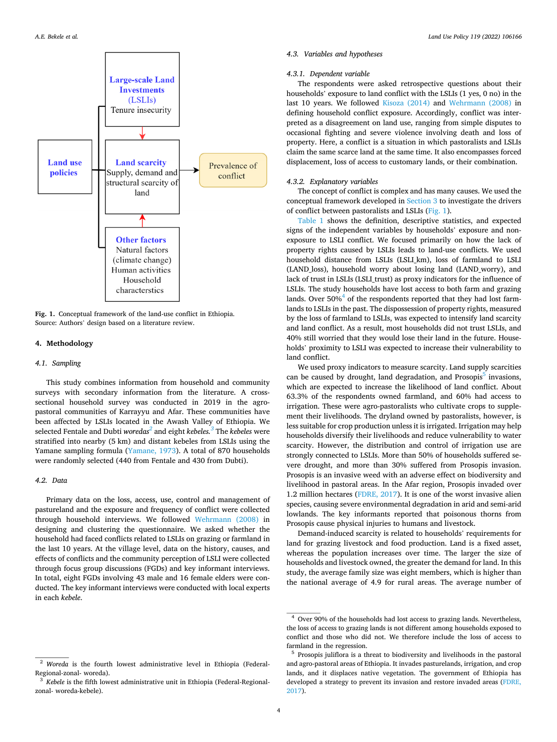<span id="page-3-0"></span>

**Fig. 1.** Conceptual framework of the land-use conflict in Ethiopia. Source: Authors' design based on a literature review.

## **4. Methodology**

## *4.1. Sampling*

This study combines information from household and community surveys with secondary information from the literature. A crosssectional household survey was conducted in 2019 in the agropastoral communities of Karrayyu and Afar. These communities have been affected by LSLIs located in the Awash Valley of Ethiopia. We selected Fentale and Dubti *woredas2* and eight *kebeles.3* The *kebeles* were stratified into nearby (5 km) and distant kebeles from LSLIs using the Yamane sampling formula ([Yamane, 1973](#page-10-0)). A total of 870 households were randomly selected (440 from Fentale and 430 from Dubti).

## *4.2. Data*

Primary data on the loss, access, use, control and management of pastureland and the exposure and frequency of conflict were collected through household interviews. We followed [Wehrmann \(2008\)](#page-10-0) in designing and clustering the questionnaire. We asked whether the household had faced conflicts related to LSLIs on grazing or farmland in the last 10 years. At the village level, data on the history, causes, and effects of conflicts and the community perception of LSLI were collected through focus group discussions (FGDs) and key informant interviews. In total, eight FGDs involving 43 male and 16 female elders were conducted. The key informant interviews were conducted with local experts in each *kebele*.

## *4.3. Variables and hypotheses*

### *4.3.1. Dependent variable*

The respondents were asked retrospective questions about their households' exposure to land conflict with the LSLIs (1 yes, 0 no) in the last 10 years. We followed [Kisoza \(2014\)](#page-9-0) and [Wehrmann \(2008\)](#page-10-0) in defining household conflict exposure. Accordingly, conflict was interpreted as a disagreement on land use, ranging from simple disputes to occasional fighting and severe violence involving death and loss of property. Here, a conflict is a situation in which pastoralists and LSLIs claim the same scarce land at the same time. It also encompasses forced displacement, loss of access to customary lands, or their combination.

#### *4.3.2. Explanatory variables*

The concept of conflict is complex and has many causes. We used the conceptual framework developed in [Section 3](#page-2-0) to investigate the drivers of conflict between pastoralists and LSLIs (Fig. 1).

[Table 1](#page-4-0) shows the definition, descriptive statistics, and expected signs of the independent variables by households' exposure and nonexposure to LSLI conflict. We focused primarily on how the lack of property rights caused by LSLIs leads to land-use conflicts. We used household distance from LSLIs (LSLI\_km), loss of farmland to LSLI (LAND\_loss), household worry about losing land (LAND\_worry), and lack of trust in LSLIs (LSLI\_trust) as proxy indicators for the influence of LSLIs. The study households have lost access to both farm and grazing lands. Over  $50\%$ <sup>4</sup> of the respondents reported that they had lost farmlands to LSLIs in the past. The dispossession of property rights, measured by the loss of farmland to LSLIs, was expected to intensify land scarcity and land conflict. As a result, most households did not trust LSLIs, and 40% still worried that they would lose their land in the future. Households' proximity to LSLI was expected to increase their vulnerability to land conflict.

We used proxy indicators to measure scarcity. Land supply scarcities can be caused by drought, land degradation, and Prosopis<sup>5</sup> invasions, which are expected to increase the likelihood of land conflict. About 63.3% of the respondents owned farmland, and 60% had access to irrigation. These were agro-pastoralists who cultivate crops to supplement their livelihoods. The dryland owned by pastoralists, however, is less suitable for crop production unless it is irrigated. Irrigation may help households diversify their livelihoods and reduce vulnerability to water scarcity. However, the distribution and control of irrigation use are strongly connected to LSLIs. More than 50% of households suffered severe drought, and more than 30% suffered from Prosopis invasion. Prosopis is an invasive weed with an adverse effect on biodiversity and livelihood in pastoral areas. In the Afar region, Prosopis invaded over 1.2 million hectares ([FDRE, 2017\)](#page-9-0). It is one of the worst invasive alien species, causing severe environmental degradation in arid and semi-arid lowlands. The key informants reported that poisonous thorns from Prosopis cause physical injuries to humans and livestock.

Demand-induced scarcity is related to households' requirements for land for grazing livestock and food production. Land is a fixed asset, whereas the population increases over time. The larger the size of households and livestock owned, the greater the demand for land. In this study, the average family size was eight members, which is higher than the national average of 4.9 for rural areas. The average number of

<sup>2</sup>*Woreda* is the fourth lowest administrative level in Ethiopia (Federal-Regional-zonal- woreda). 3 *Kebele* is the fifth lowest administrative unit in Ethiopia (Federal-Regional-

zonal- woreda-kebele).

<sup>4</sup> Over 90% of the households had lost access to grazing lands. Nevertheless, the loss of access to grazing lands is not different among households exposed to conflict and those who did not. We therefore include the loss of access to farmland in the regression.<br><sup>5</sup> Prosopis juliflora is a threat to biodiversity and livelihoods in the pastoral

and agro-pastoral areas of Ethiopia. It invades pasturelands, irrigation, and crop lands, and it displaces native vegetation. The government of Ethiopia has developed a strategy to prevent its invasion and restore invaded areas ([FDRE,](#page-9-0)  [2017\)](#page-9-0).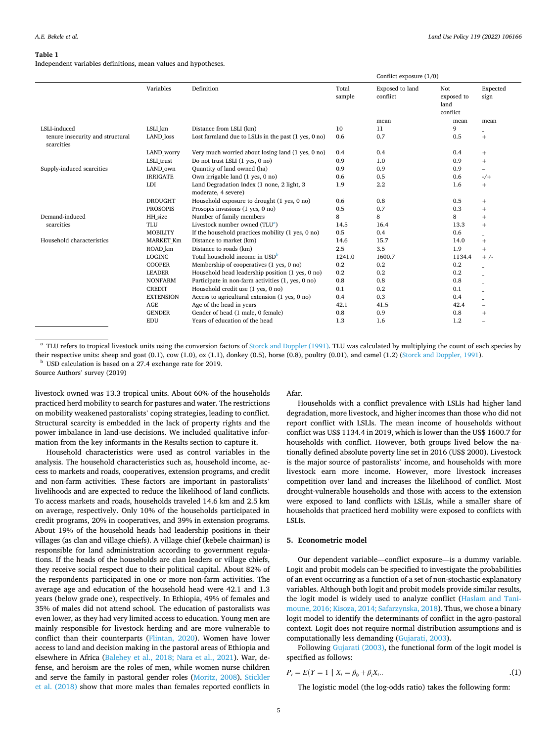#### <span id="page-4-0"></span>**Table 1**

Independent variables definitions, mean values and hypotheses.

|                                                                |                      |                                                                                 |                 |                             | Conflict exposure $(1/0)$             |                  |  |
|----------------------------------------------------------------|----------------------|---------------------------------------------------------------------------------|-----------------|-----------------------------|---------------------------------------|------------------|--|
|                                                                | Variables            | Definition                                                                      | Total<br>sample | Exposed to land<br>conflict | Not<br>exposed to<br>land<br>conflict | Expected<br>sign |  |
|                                                                |                      |                                                                                 |                 | mean                        | mean                                  | mean             |  |
| LSLI-induced<br>tenure insecurity and structural<br>scarcities | LSLI km<br>LAND loss | Distance from LSLI (km)<br>Lost farmland due to LSLIs in the past (1 yes, 0 no) | 10<br>0.6       | 11<br>0.7                   | 9<br>0.5                              | $^{+}$           |  |
|                                                                | LAND worry           | Very much worried about losing land (1 yes, 0 no)                               | 0.4             | 0.4                         | 0.4                                   | $^{+}$           |  |
|                                                                | LSLI trust           | Do not trust LSLI (1 yes, 0 no)                                                 | 0.9             | 1.0                         | 0.9                                   | $+$              |  |
| Supply-induced scarcities                                      | LAND own             | Quantity of land owned (ha)                                                     | 0.9             | 0.9                         | 0.9                                   |                  |  |
|                                                                | <b>IRRIGATE</b>      | Own irrigable land (1 yes, 0 no)                                                | 0.6             | 0.5                         | 0.6                                   | $-$ /+           |  |
|                                                                | LDI                  | Land Degradation Index (1 none, 2 light, 3<br>moderate, 4 severe)               | 1.9             | 2.2                         | 1.6                                   | $+$              |  |
|                                                                | <b>DROUGHT</b>       | Household exposure to drought (1 yes, 0 no)                                     | 0.6             | 0.8                         | 0.5                                   | $^{+}$           |  |
|                                                                | <b>PROSOPIS</b>      | Prosopis invasions (1 yes, 0 no)                                                | 0.5             | 0.7                         | 0.3                                   | $+$              |  |
| Demand-induced                                                 | HH size              | Number of family members                                                        | 8               | 8                           | 8                                     | $^{+}$           |  |
| scarcities                                                     | <b>TLU</b>           | Livestock number owned (TLU <sup>a</sup> )                                      | 14.5            | 16.4                        | 13.3                                  | $^{+}$           |  |
|                                                                | <b>MOBILITY</b>      | If the household practices mobility $(1 \text{ yes}, 0 \text{ no})$             | 0.5             | 0.4                         | 0.6                                   |                  |  |
| Household characteristics                                      | <b>MARKET Km</b>     | Distance to market (km)                                                         | 14.6            | 15.7                        | 14.0                                  | $+$              |  |
|                                                                | ROAD km              | Distance to roads (km)                                                          | 2.5             | 3.5                         | 1.9                                   | $+$              |  |
|                                                                | <b>LOGINC</b>        | Total household income in USD <sup>b</sup>                                      | 1241.0          | 1600.7                      | 1134.4                                | $+/-$            |  |
|                                                                | <b>COOPER</b>        | Membership of cooperatives (1 yes, 0 no)                                        | 0.2             | 0.2                         | 0.2                                   |                  |  |
|                                                                | <b>LEADER</b>        | Household head leadership position (1 yes, 0 no)                                | 0.2             | 0.2                         | 0.2                                   |                  |  |
|                                                                | <b>NONFARM</b>       | Participate in non-farm activities (1, yes, 0 no)                               | 0.8             | 0.8                         | 0.8                                   |                  |  |
|                                                                | <b>CREDIT</b>        | Household credit use (1 yes, 0 no)                                              | 0.1             | 0.2                         | 0.1                                   |                  |  |
|                                                                | <b>EXTENSION</b>     | Access to agricultural extension (1 yes, 0 no)                                  | 0.4             | 0.3                         | 0.4                                   |                  |  |
|                                                                | <b>AGE</b>           | Age of the head in years                                                        | 42.1            | 41.5                        | 42.4                                  |                  |  |
|                                                                | <b>GENDER</b>        | Gender of head (1 male, 0 female)                                               | 0.8             | 0.9                         | 0.8                                   | $^{+}$           |  |
|                                                                | <b>EDU</b>           | Years of education of the head                                                  | 1.3             | 1.6                         | 1.2                                   |                  |  |

<sup>a</sup> TLU refers to tropical livestock units using the conversion factors of [Storck and Doppler \(1991\).](#page-10-0) TLU was calculated by multiplying the count of each species by their respective units: sheep and goat (0.1), cow (1.0), ox (1.1), donkey (0.5), horse (0.8), poultry (0.01), and camel (1.2) [\(Storck and Doppler, 1991](#page-10-0)). b USD calculation is based on a 27.4 exchange rate for 2019.

Source Authors' survey (2019)

livestock owned was 13.3 tropical units. About 60% of the households practiced herd mobility to search for pastures and water. The restrictions on mobility weakened pastoralists' coping strategies, leading to conflict. Structural scarcity is embedded in the lack of property rights and the power imbalance in land-use decisions. We included qualitative information from the key informants in the Results section to capture it.

Household characteristics were used as control variables in the analysis. The household characteristics such as, household income, access to markets and roads, cooperatives, extension programs, and credit and non-farm activities. These factors are important in pastoralists' livelihoods and are expected to reduce the likelihood of land conflicts. To access markets and roads, households traveled 14.6 km and 2.5 km on average, respectively. Only 10% of the households participated in credit programs, 20% in cooperatives, and 39% in extension programs. About 19% of the household heads had leadership positions in their villages (as clan and village chiefs). A village chief (kebele chairman) is responsible for land administration according to government regulations. If the heads of the households are clan leaders or village chiefs, they receive social respect due to their political capital. About 82% of the respondents participated in one or more non-farm activities. The average age and education of the household head were 42.1 and 1.3 years (below grade one), respectively. In Ethiopia, 49% of females and 35% of males did not attend school. The education of pastoralists was even lower, as they had very limited access to education. Young men are mainly responsible for livestock herding and are more vulnerable to conflict than their counterparts [\(Flintan, 2020](#page-9-0)). Women have lower access to land and decision making in the pastoral areas of Ethiopia and elsewhere in Africa [\(Balehey et al., 2018; Nara et al., 2021](#page-9-0)). War, defense, and heroism are the roles of men, while women nurse children and serve the family in pastoral gender roles [\(Moritz, 2008\)](#page-9-0). [Stickler](#page-10-0)  [et al. \(2018\)](#page-10-0) show that more males than females reported conflicts in

## Afar.

Households with a conflict prevalence with LSLIs had higher land degradation, more livestock, and higher incomes than those who did not report conflict with LSLIs. The mean income of households without conflict was US\$ 1134.4 in 2019, which is lower than the US\$ 1600.7 for households with conflict. However, both groups lived below the nationally defined absolute poverty line set in 2016 (US\$ 2000). Livestock is the major source of pastoralists' income, and households with more livestock earn more income. However, more livestock increases competition over land and increases the likelihood of conflict. Most drought-vulnerable households and those with access to the extension were exposed to land conflicts with LSLIs, while a smaller share of households that practiced herd mobility were exposed to conflicts with LSLIs.

## **5. Econometric model**

Our dependent variable—conflict exposure—is a dummy variable. Logit and probit models can be specified to investigate the probabilities of an event occurring as a function of a set of non-stochastic explanatory variables. Although both logit and probit models provide similar results, the logit model is widely used to analyze conflict [\(Haslam and Tani](#page-9-0)[moune, 2016; Kisoza, 2014; Safarzynska, 2018](#page-9-0)). Thus, we chose a binary logit model to identify the determinants of conflict in the agro-pastoral context. Logit does not require normal distribution assumptions and is computationally less demanding [\(Gujarati, 2003\)](#page-9-0).

Following [Gujarati \(2003\)](#page-9-0), the functional form of the logit model is specified as follows:

$$
P_i = E(Y = 1 | X_i = \beta_0 + \beta_i X_i).
$$
 (1)

The logistic model (the log-odds ratio) takes the following form: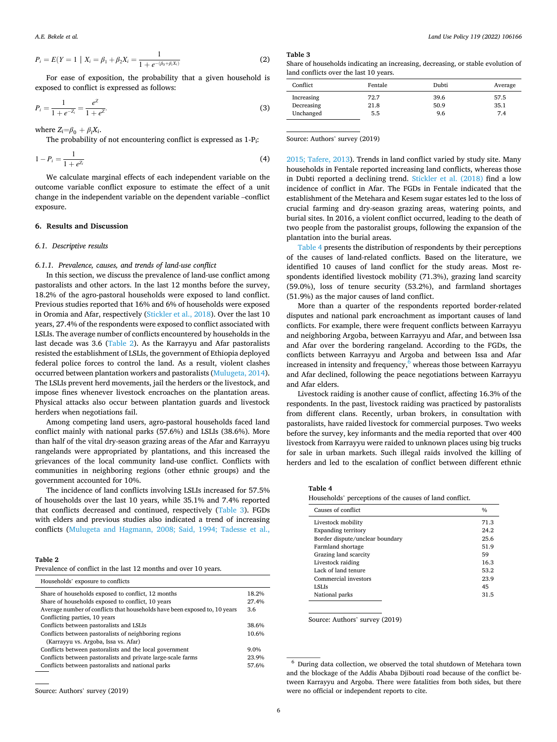<span id="page-5-0"></span>
$$
P_i = E(Y = 1 | X_i = \beta_1 + \beta_2 X_i = \frac{1}{1 + e^{-(\beta_0 + \beta_i X_i)}}\tag{2}
$$

For ease of exposition, the probability that a given household is exposed to conflict is expressed as follows:

$$
P_i = \frac{1}{1 + e^{-z_i}} = \frac{e^z}{1 + e^z}.
$$
\n(3)

where  $Z_i = \beta_0 + \beta_i X_i$ .

The probability of not encountering conflict is expressed as 1-Pi:

$$
1 - P_i = \frac{1}{1 + e^{Z_i}}
$$
 (4)

We calculate marginal effects of each independent variable on the outcome variable conflict exposure to estimate the effect of a unit change in the independent variable on the dependent variable –conflict exposure.

#### **6. Results and Discussion**

#### *6.1. Descriptive results*

#### *6.1.1. Prevalence, causes, and trends of land-use conflict*

In this section, we discuss the prevalence of land-use conflict among pastoralists and other actors. In the last 12 months before the survey, 18.2% of the agro-pastoral households were exposed to land conflict. Previous studies reported that 16% and 6% of households were exposed in Oromia and Afar, respectively [\(Stickler et al., 2018\)](#page-10-0). Over the last 10 years, 27.4% of the respondents were exposed to conflict associated with LSLIs. The average number of conflicts encountered by households in the last decade was 3.6 (Table 2). As the Karrayyu and Afar pastoralists resisted the establishment of LSLIs, the government of Ethiopia deployed federal police forces to control the land. As a result, violent clashes occurred between plantation workers and pastoralists [\(Mulugeta, 2014](#page-9-0)). The LSLIs prevent herd movements, jail the herders or the livestock, and impose fines whenever livestock encroaches on the plantation areas. Physical attacks also occur between plantation guards and livestock herders when negotiations fail.

Among competing land users, agro-pastoral households faced land conflict mainly with national parks (57.6%) and LSLIs (38.6%). More than half of the vital dry-season grazing areas of the Afar and Karrayyu rangelands were appropriated by plantations, and this increased the grievances of the local community land-use conflict. Conflicts with communities in neighboring regions (other ethnic groups) and the government accounted for 10%.

The incidence of land conflicts involving LSLIs increased for 57.5% of households over the last 10 years, while 35.1% and 7.4% reported that conflicts decreased and continued, respectively (Table 3). FGDs with elders and previous studies also indicated a trend of increasing conflicts ([Mulugeta and Hagmann, 2008; Said, 1994; Tadesse et al.,](#page-10-0) 

### **Table 2**

Prevalence of conflict in the last 12 months and over 10 years.

| Households' exposure to conflicts                                          |         |
|----------------------------------------------------------------------------|---------|
| Share of households exposed to conflict, 12 months                         | 18.2%   |
| Share of households exposed to conflict, 10 years                          | 27.4%   |
| Average number of conflicts that households have been exposed to, 10 years | 3.6     |
| Conflicting parties, 10 years                                              |         |
| Conflicts between pastoralists and LSLIs                                   | 38.6%   |
| Conflicts between pastoralists of neighboring regions                      | 10.6%   |
| (Karrayyu vs. Argoba, Issa vs. Afar)                                       |         |
| Conflicts between pastoralists and the local government                    | $9.0\%$ |
| Conflicts between pastoralists and private large-scale farms               | 23.9%   |
| Conflicts between pastoralists and national parks                          | 57.6%   |
|                                                                            |         |

Source: Authors' survey (2019)

**Table 3** 

Share of households indicating an increasing, decreasing, or stable evolution of land conflicts over the last 10 years.

| Conflict   | Fentale | Dubti | Average |
|------------|---------|-------|---------|
| Increasing | 72.7    | 39.6  | 57.5    |
| Decreasing | 21.8    | 50.9  | 35.1    |
| Unchanged  | 5.5     | 9.6   | 7.4     |

Source: Authors' survey (2019)

[2015; Tafere, 2013](#page-10-0)). Trends in land conflict varied by study site. Many households in Fentale reported increasing land conflicts, whereas those in Dubti reported a declining trend. [Stickler et al. \(2018\)](#page-10-0) find a low incidence of conflict in Afar. The FGDs in Fentale indicated that the establishment of the Metehara and Kesem sugar estates led to the loss of crucial farming and dry-season grazing areas, watering points, and burial sites. In 2016, a violent conflict occurred, leading to the death of two people from the pastoralist groups, following the expansion of the plantation into the burial areas.

Table 4 presents the distribution of respondents by their perceptions of the causes of land-related conflicts. Based on the literature, we identified 10 causes of land conflict for the study areas. Most respondents identified livestock mobility (71.3%), grazing land scarcity (59.0%), loss of tenure security (53.2%), and farmland shortages (51.9%) as the major causes of land conflict.

More than a quarter of the respondents reported border-related disputes and national park encroachment as important causes of land conflicts. For example, there were frequent conflicts between Karrayyu and neighboring Argoba, between Karrayyu and Afar, and between Issa and Afar over the bordering rangeland. According to the FGDs, the conflicts between Karrayyu and Argoba and between Issa and Afar increased in intensity and frequency, $6$  whereas those between Karrayyu and Afar declined, following the peace negotiations between Karrayyu and Afar elders.

Livestock raiding is another cause of conflict, affecting 16.3% of the respondents. In the past, livestock raiding was practiced by pastoralists from different clans. Recently, urban brokers, in consultation with pastoralists, have raided livestock for commercial purposes. Two weeks before the survey, key informants and the media reported that over 400 livestock from Karrayyu were raided to unknown places using big trucks for sale in urban markets. Such illegal raids involved the killing of herders and led to the escalation of conflict between different ethnic

**Table 4**  Households' perceptions of the causes of land conflict.

| Causes of conflict              | $\frac{0}{0}$ |
|---------------------------------|---------------|
| Livestock mobility              | 71.3          |
| <b>Expanding territory</b>      | 24.2          |
| Border dispute/unclear boundary | 25.6          |
| Farmland shortage               | 51.9          |
| Grazing land scarcity           | 59            |
| Livestock raiding               | 16.3          |
| Lack of land tenure             | 53.2          |
| Commercial investors            | 23.9          |
| LSLIs                           | 45            |
| National parks                  | 31.5          |

Source: Authors' survey (2019)

 $^{\rm 6}$  During data collection, we observed the total shutdown of Metehara town and the blockage of the Addis Ababa Djibouti road because of the conflict between Karrayyu and Argoba. There were fatalities from both sides, but there were no official or independent reports to cite.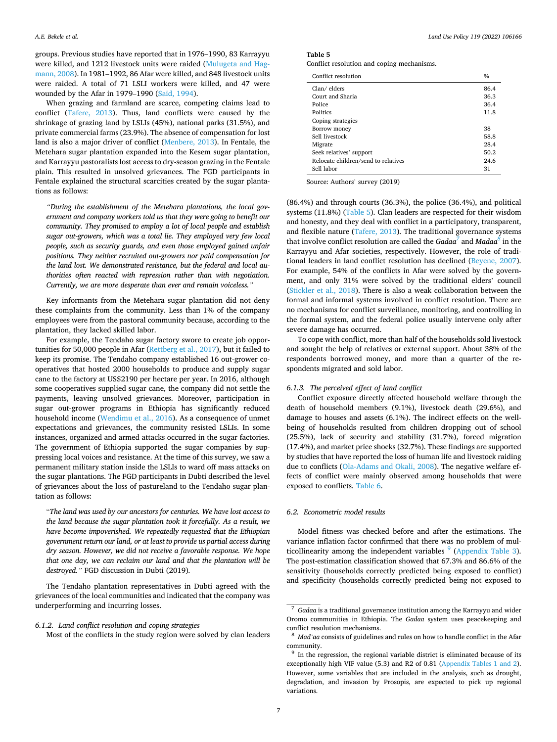groups. Previous studies have reported that in 1976–1990, 83 Karrayyu were killed, and 1212 livestock units were raided [\(Mulugeta and Hag](#page-10-0)[mann, 2008](#page-10-0)). In 1981–1992, 86 Afar were killed, and 848 livestock units were raided. A total of 71 LSLI workers were killed, and 47 were wounded by the Afar in 1979–1990 [\(Said, 1994\)](#page-10-0).

When grazing and farmland are scarce, competing claims lead to conflict [\(Tafere, 2013](#page-10-0)). Thus, land conflicts were caused by the shrinkage of grazing land by LSLIs (45%), national parks (31.5%), and private commercial farms (23.9%). The absence of compensation for lost land is also a major driver of conflict ([Menbere, 2013](#page-9-0)). In Fentale, the Metehara sugar plantation expanded into the Kesem sugar plantation, and Karrayyu pastoralists lost access to dry-season grazing in the Fentale plain. This resulted in unsolved grievances. The FGD participants in Fentale explained the structural scarcities created by the sugar plantations as follows:

*"During the establishment of the Metehara plantations, the local government and company workers told us that they were going to benefit our community. They promised to employ a lot of local people and establish sugar out-growers, which was a total lie. They employed very few local people, such as security guards, and even those employed gained unfair positions. They neither recruited out-growers nor paid compensation for the land lost. We demonstrated resistance, but the federal and local authorities often reacted with repression rather than with negotiation. Currently, we are more desperate than ever and remain voiceless."* 

Key informants from the Metehara sugar plantation did not deny these complaints from the community. Less than 1% of the company employees were from the pastoral community because, according to the plantation, they lacked skilled labor.

For example, the Tendaho sugar factory swore to create job opportunities for 50,000 people in Afar ([Rettberg et al., 2017](#page-10-0)), but it failed to keep its promise. The Tendaho company established 16 out-grower cooperatives that hosted 2000 households to produce and supply sugar cane to the factory at US\$2190 per hectare per year. In 2016, although some cooperatives supplied sugar cane, the company did not settle the payments, leaving unsolved grievances. Moreover, participation in sugar out-grower programs in Ethiopia has significantly reduced household income ([Wendimu et al., 2016](#page-10-0)). As a consequence of unmet expectations and grievances, the community resisted LSLIs. In some instances, organized and armed attacks occurred in the sugar factories. The government of Ethiopia supported the sugar companies by suppressing local voices and resistance. At the time of this survey, we saw a permanent military station inside the LSLIs to ward off mass attacks on the sugar plantations. The FGD participants in Dubti described the level of grievances about the loss of pastureland to the Tendaho sugar plantation as follows:

"*The land was used by our ancestors for centuries. We have lost access to the land because the sugar plantation took it forcefully. As a result, we have become impoverished. We repeatedly requested that the Ethiopian government return our land, or at least to provide us partial access during dry season. However, we did not receive a favorable response. We hope that one day, we can reclaim our land and that the plantation will be destroyed."* FGD discussion in Dubti (2019)*.* 

The Tendaho plantation representatives in Dubti agreed with the grievances of the local communities and indicated that the company was underperforming and incurring losses.

### *6.1.2. Land conflict resolution and coping strategies*

Most of the conflicts in the study region were solved by clan leaders

**Table 5** 

Conflict resolution and coping mechanisms.

| Conflict resolution                 | $\frac{0}{0}$ |
|-------------------------------------|---------------|
| Clan/elders                         | 86.4          |
| Court and Sharia                    | 36.3          |
| Police                              | 36.4          |
| Politics                            | 11.8          |
| Coping strategies                   |               |
| Borrow money                        | 38            |
| Sell livestock                      | 58.8          |
| Migrate                             | 28.4          |
| Seek relatives' support             | 50.2          |
| Relocate children/send to relatives | 24.6          |
| Sell labor                          | 31            |

Source: Authors' survey (2019)

(86.4%) and through courts (36.3%), the police (36.4%), and political systems (11.8%) (Table 5). Clan leaders are respected for their wisdom and honesty, and they deal with conflict in a participatory, transparent, and flexible nature [\(Tafere, 2013](#page-10-0)). The traditional governance systems that involve conflict resolution are called the *Gadaa7* and *Madaa8* in the Karrayyu and Afar societies, respectively. However, the role of traditional leaders in land conflict resolution has declined [\(Beyene, 2007](#page-9-0)). For example, 54% of the conflicts in Afar were solved by the government, and only 31% were solved by the traditional elders' council ([Stickler et al., 2018](#page-10-0)). There is also a weak collaboration between the formal and informal systems involved in conflict resolution. There are no mechanisms for conflict surveillance, monitoring, and controlling in the formal system, and the federal police usually intervene only after severe damage has occurred.

To cope with conflict, more than half of the households sold livestock and sought the help of relatives or external support. About 38% of the respondents borrowed money, and more than a quarter of the respondents migrated and sold labor.

## *6.1.3. The perceived effect of land conflict*

Conflict exposure directly affected household welfare through the death of household members (9.1%), livestock death (29.6%), and damage to houses and assets (6.1%). The indirect effects on the wellbeing of households resulted from children dropping out of school (25.5%), lack of security and stability (31.7%), forced migration (17.4%), and market price shocks (32.7%). These findings are supported by studies that have reported the loss of human life and livestock raiding due to conflicts [\(Ola-Adams and Okali, 2008](#page-10-0)). The negative welfare effects of conflict were mainly observed among households that were exposed to conflicts. [Table 6](#page-7-0).

## *6.2. Econometric model results*

Model fitness was checked before and after the estimations. The variance inflation factor confirmed that there was no problem of multicollinearity among the independent variables  $9$  (Appendix Table 3). The post-estimation classification showed that 67.3% and 86.6% of the sensitivity (households correctly predicted being exposed to conflict) and specificity (households correctly predicted being not exposed to

<sup>7</sup>*Gadaa* is a traditional governance institution among the Karrayyu and wider Oromo communities in Ethiopia. The *Gadaa* system uses peacekeeping and conflict resolution mechanisms. 8 *Mad'aa* consists of guidelines and rules on how to handle conflict in the Afar

community.

<sup>&</sup>lt;sup>9</sup> In the regression, the regional variable district is eliminated because of its exceptionally high VIF value (5.3) and R2 of 0.81 (Appendix Tables 1 and 2). However, some variables that are included in the analysis, such as drought, degradation, and invasion by Prosopis, are expected to pick up regional variations.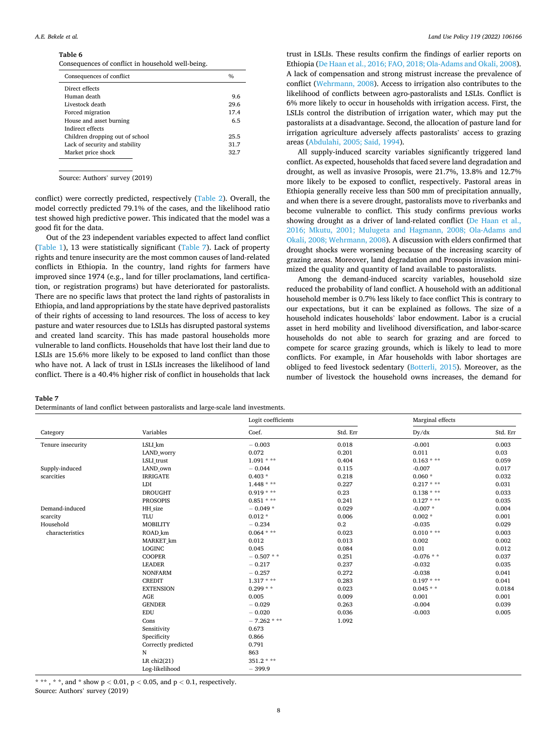#### <span id="page-7-0"></span>*A.E. Bekele et al.*

**Table 6** 

Consequences of conflict in household well-being.

| Consequences of conflict        | $\frac{0}{0}$ |
|---------------------------------|---------------|
| Direct effects                  |               |
| Human death                     | 9.6           |
| Livestock death                 | 29.6          |
| Forced migration                | 17.4          |
| House and asset burning         | 6.5           |
| Indirect effects                |               |
| Children dropping out of school | 25.5          |
| Lack of security and stability  | 31.7          |
| Market price shock              | 32.7          |

Source: Authors' survey (2019)

conflict) were correctly predicted, respectively [\(Table 2](#page-5-0)). Overall, the model correctly predicted 79.1% of the cases, and the likelihood ratio test showed high predictive power. This indicated that the model was a good fit for the data.

Out of the 23 independent variables expected to affect land conflict ([Table 1\)](#page-4-0), 13 were statistically significant (Table 7). Lack of property rights and tenure insecurity are the most common causes of land-related conflicts in Ethiopia. In the country, land rights for farmers have improved since 1974 (e.g., land for tiller proclamations, land certification, or registration programs) but have deteriorated for pastoralists. There are no specific laws that protect the land rights of pastoralists in Ethiopia, and land appropriations by the state have deprived pastoralists of their rights of accessing to land resources. The loss of access to key pasture and water resources due to LSLIs has disrupted pastoral systems and created land scarcity. This has made pastoral households more vulnerable to land conflicts. Households that have lost their land due to LSLIs are 15.6% more likely to be exposed to land conflict than those who have not. A lack of trust in LSLIs increases the likelihood of land conflict. There is a 40.4% higher risk of conflict in households that lack

### **Table 7**

Determinants of land conflict between pastoralists and large-scale land investments.

trust in LSLIs. These results confirm the findings of earlier reports on Ethiopia ([De Haan et al., 2016; FAO, 2018; Ola-Adams and Okali, 2008](#page-9-0)). A lack of compensation and strong mistrust increase the prevalence of conflict [\(Wehrmann, 2008\)](#page-10-0). Access to irrigation also contributes to the likelihood of conflicts between agro-pastoralists and LSLIs. Conflict is 6% more likely to occur in households with irrigation access. First, the LSLIs control the distribution of irrigation water, which may put the pastoralists at a disadvantage. Second, the allocation of pasture land for irrigation agriculture adversely affects pastoralists' access to grazing areas [\(Abdulahi, 2005; Said, 1994](#page-9-0)).

All supply-induced scarcity variables significantly triggered land conflict. As expected, households that faced severe land degradation and drought, as well as invasive Prosopis, were 21.7%, 13.8% and 12.7% more likely to be exposed to conflict, respectively. Pastoral areas in Ethiopia generally receive less than 500 mm of precipitation annually, and when there is a severe drought, pastoralists move to riverbanks and become vulnerable to conflict. This study confirms previous works showing drought as a driver of land-related conflict [\(De Haan et al.,](#page-9-0)  [2016; Mkutu, 2001; Mulugeta and Hagmann, 2008; Ola-Adams and](#page-9-0)  [Okali, 2008; Wehrmann, 2008\)](#page-9-0). A discussion with elders confirmed that drought shocks were worsening because of the increasing scarcity of grazing areas. Moreover, land degradation and Prosopis invasion minimized the quality and quantity of land available to pastoralists.

Among the demand-induced scarcity variables, household size reduced the probability of land conflict. A household with an additional household member is 0.7% less likely to face conflict This is contrary to our expectations, but it can be explained as follows. The size of a household indicates households' labor endowment. Labor is a crucial asset in herd mobility and livelihood diversification, and labor-scarce households do not able to search for grazing and are forced to compete for scarce grazing grounds, which is likely to lead to more conflicts. For example, in Afar households with labor shortages are obliged to feed livestock sedentary ([Botterli, 2015](#page-9-0)). Moreover, as the number of livestock the household owns increases, the demand for

|                   |                     | Logit coefficients |          | Marginal effects |          |
|-------------------|---------------------|--------------------|----------|------------------|----------|
| Category          | Variables           | Coef.              | Std. Err | Dy/dx            | Std. Err |
| Tenure insecurity | LSLI km             | $-0.003$           | 0.018    | $-0.001$         | 0.003    |
|                   | LAND_worry          | 0.072              | 0.201    | 0.011            | 0.03     |
|                   | LSLI trust          | $1.091$ * **       | 0.404    | $0.163$ * **     | 0.059    |
| Supply-induced    | LAND own            | $-0.044$           | 0.115    | $-0.007$         | 0.017    |
| scarcities        | <b>IRRIGATE</b>     | $0.403 *$          | 0.218    | $0.060*$         | 0.032    |
|                   | LDI                 | $1.448$ * **       | 0.227    | $0.217$ * **     | 0.031    |
|                   | <b>DROUGHT</b>      | $0.919$ * **       | 0.23     | $0.138$ * **     | 0.033    |
|                   | <b>PROSOPIS</b>     | $0.851$ * **       | 0.241    | $0.127$ * **     | 0.035    |
| Demand-induced    | HH size             | $-0.049*$          | 0.029    | $-0.007*$        | 0.004    |
| scarcity          | <b>TLU</b>          | $0.012 *$          | 0.006    | $0.002 *$        | 0.001    |
| Household         | <b>MOBILITY</b>     | $-0.234$           | 0.2      | $-0.035$         | 0.029    |
| characteristics   | ROAD km             | $0.064$ * **       | 0.023    | $0.010**$        | 0.003    |
|                   | <b>MARKET</b> km    | 0.012              | 0.013    | 0.002            | 0.002    |
|                   | <b>LOGINC</b>       | 0.045              | 0.084    | 0.01             | 0.012    |
|                   | <b>COOPER</b>       | $-0.507**$         | 0.251    | $-0.076$ * *     | 0.037    |
|                   | <b>LEADER</b>       | $-0.217$           | 0.237    | $-0.032$         | 0.035    |
|                   | <b>NONFARM</b>      | $-0.257$           | 0.272    | $-0.038$         | 0.041    |
|                   | <b>CREDIT</b>       | $1.317$ * **       | 0.283    | $0.197$ * **     | 0.041    |
|                   | <b>EXTENSION</b>    | $0.299**$          | 0.023    | $0.045**$        | 0.0184   |
|                   | $\mathbf{AGE}$      | 0.005              | 0.009    | 0.001            | 0.001    |
|                   | <b>GENDER</b>       | $-0.029$           | 0.263    | $-0.004$         | 0.039    |
|                   | <b>EDU</b>          | $-0.020$           | 0.036    | $-0.003$         | 0.005    |
|                   | Cons                | $-7.262$ * **      | 1.092    |                  |          |
|                   | Sensitivity         | 0.673              |          |                  |          |
|                   | Specificity         | 0.866              |          |                  |          |
|                   | Correctly predicted | 0.791              |          |                  |          |
|                   | N                   | 863                |          |                  |          |
|                   | LR $chi2(21)$       | $351.2$ * **       |          |                  |          |
|                   | Log-likelihood      | $-399.9$           |          |                  |          |

\* \*\* , \* \*, and \* show p *<* 0.01, p *<* 0.05, and p *<* 0.1, respectively. Source: Authors' survey (2019)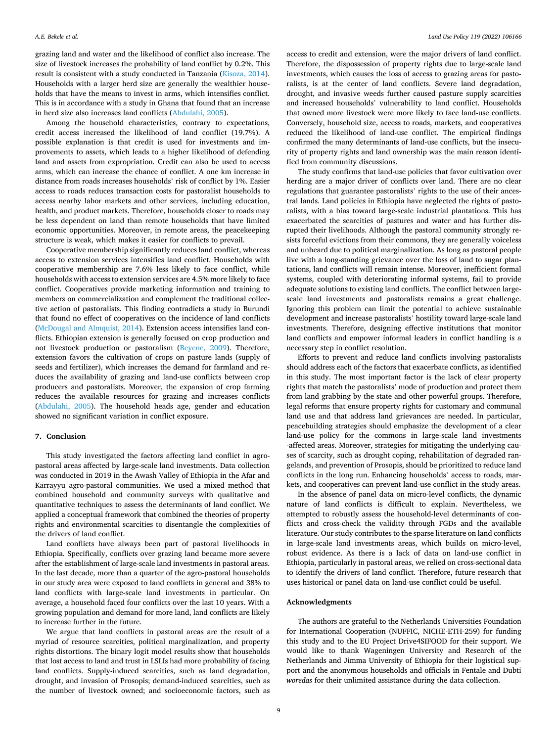grazing land and water and the likelihood of conflict also increase. The size of livestock increases the probability of land conflict by 0.2%. This result is consistent with a study conducted in Tanzania [\(Kisoza, 2014](#page-9-0)). Households with a larger herd size are generally the wealthier households that have the means to invest in arms, which intensifies conflict. This is in accordance with a study in Ghana that found that an increase in herd size also increases land conflicts [\(Abdulahi, 2005](#page-9-0)).

Among the household characteristics, contrary to expectations, credit access increased the likelihood of land conflict (19.7%). A possible explanation is that credit is used for investments and improvements to assets, which leads to a higher likelihood of defending land and assets from expropriation. Credit can also be used to access arms, which can increase the chance of conflict. A one km increase in distance from roads increases households' risk of conflict by 1%. Easier access to roads reduces transaction costs for pastoralist households to access nearby labor markets and other services, including education, health, and product markets. Therefore, households closer to roads may be less dependent on land than remote households that have limited economic opportunities. Moreover, in remote areas, the peacekeeping structure is weak, which makes it easier for conflicts to prevail.

Cooperative membership significantly reduces land conflict, whereas access to extension services intensifies land conflict. Households with cooperative membership are 7.6% less likely to face conflict, while households with access to extension services are 4.5% more likely to face conflict. Cooperatives provide marketing information and training to members on commercialization and complement the traditional collective action of pastoralists. This finding contradicts a study in Burundi that found no effect of cooperatives on the incidence of land conflicts ([McDougal and Almquist, 2014\)](#page-9-0). Extension access intensifies land conflicts. Ethiopian extension is generally focused on crop production and not livestock production or pastoralism [\(Beyene, 2009](#page-9-0)). Therefore, extension favors the cultivation of crops on pasture lands (supply of seeds and fertilizer), which increases the demand for farmland and reduces the availability of grazing and land-use conflicts between crop producers and pastoralists. Moreover, the expansion of crop farming reduces the available resources for grazing and increases conflicts ([Abdulahi, 2005](#page-9-0)). The household heads age, gender and education showed no significant variation in conflict exposure.

## **7. Conclusion**

This study investigated the factors affecting land conflict in agropastoral areas affected by large-scale land investments. Data collection was conducted in 2019 in the Awash Valley of Ethiopia in the Afar and Karrayyu agro-pastoral communities. We used a mixed method that combined household and community surveys with qualitative and quantitative techniques to assess the determinants of land conflict. We applied a conceptual framework that combined the theories of property rights and environmental scarcities to disentangle the complexities of the drivers of land conflict.

Land conflicts have always been part of pastoral livelihoods in Ethiopia. Specifically, conflicts over grazing land became more severe after the establishment of large-scale land investments in pastoral areas. In the last decade, more than a quarter of the agro-pastoral households in our study area were exposed to land conflicts in general and 38% to land conflicts with large-scale land investments in particular. On average, a household faced four conflicts over the last 10 years. With a growing population and demand for more land, land conflicts are likely to increase further in the future.

We argue that land conflicts in pastoral areas are the result of a myriad of resource scarcities, political marginalization, and property rights distortions. The binary logit model results show that households that lost access to land and trust in LSLIs had more probability of facing land conflicts. Supply-induced scarcities, such as land degradation, drought, and invasion of Prosopis; demand-induced scarcities, such as the number of livestock owned; and socioeconomic factors, such as

access to credit and extension, were the major drivers of land conflict. Therefore, the dispossession of property rights due to large-scale land investments, which causes the loss of access to grazing areas for pastoralists, is at the center of land conflicts. Severe land degradation, drought, and invasive weeds further caused pasture supply scarcities and increased households' vulnerability to land conflict. Households that owned more livestock were more likely to face land-use conflicts. Conversely, household size, access to roads, markets, and cooperatives reduced the likelihood of land-use conflict. The empirical findings confirmed the many determinants of land-use conflicts, but the insecurity of property rights and land ownership was the main reason identified from community discussions.

The study confirms that land-use policies that favor cultivation over herding are a major driver of conflicts over land. There are no clear regulations that guarantee pastoralists' rights to the use of their ancestral lands. Land policies in Ethiopia have neglected the rights of pastoralists, with a bias toward large-scale industrial plantations. This has exacerbated the scarcities of pastures and water and has further disrupted their livelihoods. Although the pastoral community strongly resists forceful evictions from their commons, they are generally voiceless and unheard due to political marginalization. As long as pastoral people live with a long-standing grievance over the loss of land to sugar plantations, land conflicts will remain intense. Moreover, inefficient formal systems, coupled with deteriorating informal systems, fail to provide adequate solutions to existing land conflicts. The conflict between largescale land investments and pastoralists remains a great challenge. Ignoring this problem can limit the potential to achieve sustainable development and increase pastoralists' hostility toward large-scale land investments. Therefore, designing effective institutions that monitor land conflicts and empower informal leaders in conflict handling is a necessary step in conflict resolution.

Efforts to prevent and reduce land conflicts involving pastoralists should address each of the factors that exacerbate conflicts, as identified in this study. The most important factor is the lack of clear property rights that match the pastoralists' mode of production and protect them from land grabbing by the state and other powerful groups. Therefore, legal reforms that ensure property rights for customary and communal land use and that address land grievances are needed. In particular, peacebuilding strategies should emphasize the development of a clear land-use policy for the commons in large-scale land investments -affected areas. Moreover, strategies for mitigating the underlying causes of scarcity, such as drought coping, rehabilitation of degraded rangelands, and prevention of Prosopis, should be prioritized to reduce land conflicts in the long run. Enhancing households' access to roads, markets, and cooperatives can prevent land-use conflict in the study areas.

In the absence of panel data on micro-level conflicts, the dynamic nature of land conflicts is difficult to explain. Nevertheless, we attempted to robustly assess the household-level determinants of conflicts and cross-check the validity through FGDs and the available literature. Our study contributes to the sparse literature on land conflicts in large-scale land investments areas, which builds on micro-level, robust evidence. As there is a lack of data on land-use conflict in Ethiopia, particularly in pastoral areas, we relied on cross-sectional data to identify the drivers of land conflict. Therefore, future research that uses historical or panel data on land-use conflict could be useful.

#### **Acknowledgments**

The authors are grateful to the Netherlands Universities Foundation for International Cooperation (NUFFIC, NICHE-ETH-259) for funding this study and to the EU Project Drive4SIFOOD for their support. We would like to thank Wageningen University and Research of the Netherlands and Jimma University of Ethiopia for their logistical support and the anonymous households and officials in Fentale and Dubti *woredas* for their unlimited assistance during the data collection.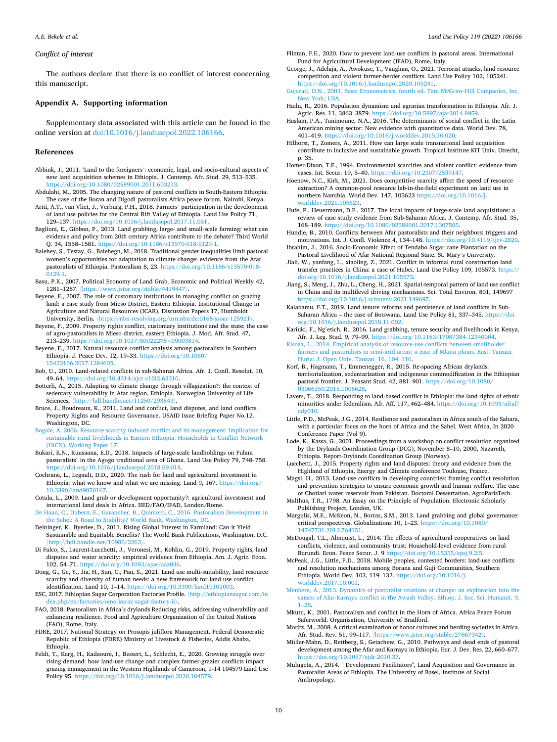#### <span id="page-9-0"></span>*Conflict of interest*

The authors declare that there is no conflict of interest concerning this manuscript.

### **Appendix A. Supporting information**

Supplementary data associated with this article can be found in the online version at [doi:10.1016/j.landusepol.2022.106166.](https://doi.org/10.1016/j.landusepol.2022.106166)

#### **References**

Abbink, J., 2011. 'Land to the foreigners': economic, legal, and socio-cultural aspects of new land acquisition schemes in Ethiopia. J. Contemp. Afr. Stud. 29, 513–535. [https://doi.org/10.1080/02589001.2011.603213.](https://doi.org/10.1080/02589001.2011.603213)

Abdulahi, M., 2005. The changing nature of pastoral conflicts in South-Eastern Ethiopia. The case of the Boran and Digodi pastoralists.Africa peace forum, Nairobi, Kenya.

- Ariti, A.T., van Vliet, J., Verburg, P.H., 2018. Farmers' participation in the development of land use policies for the Central Rift Valley of Ethiopia. Land Use Policy 71, 129–137. [https://doi.org/10.1016/j.landusepol.2017.11.051.](https://doi.org/10.1016/j.landusepol.2017.11.051)
- Baglioni, E., Gibbon, P., 2013. Land grabbing, large- and small-scale farming: what can evidence and policy from 20th century Africa contribute to the debate? Third World Q. 34, 1558–1581. <https://doi.org/10.1186/s13570-018-0129-1>.
- Balehey, S., Tesfay, G., Balehegn, M., 2018. Traditional gender inequalities limit pastoral women's opportunities for adaptation to climate change: evidence from the Afar pastoralists of Ethiopia. Pastoralism 8, 23. [https://doi.org/10.1186/s13570-018-](https://doi.org/10.1186/s13570-018-0129-1) [0129-1.](https://doi.org/10.1186/s13570-018-0129-1)
- Basu, P.K., 2007. Political Economy of Land Grab. Economic and Political Weekly 42, 1281–1287. 〈<https://www.jstor.org/stable/4419447>〉.
- Beyene, F., 2007. The role of customary institutions in managing conflict on grazing land: a case study from Mieso District, Eastern Ethiopia. Institutional Change in Agriculture and Natural Resources (ICAR), Discussion Papers 17, Humboldt University, Berlin. 〈<https://nbn-resolving.org/urn:nbn:de:0168-ssoar-125921>〉.
- Beyene, F., 2009. Property rights conflict, customary institutions and the state: the case of agro-pastoralists in Mieso district, eastern Ethiopia. J. Mod. Afr. Stud. 47, 213–239. [https://doi.org/10.1017/S0022278](https://doi.org/10.1017/S0022278×09003814)×09003814.
- Beyene, F., 2017. Natural resource conflict analysis among pastoralists in Southern Ethiopia. J. Peace Dev. 12, 19–33. [https://doi.org/10.1080/](https://doi.org/10.1080/15423166.2017.1284605)  [15423166.2017.1284605](https://doi.org/10.1080/15423166.2017.1284605).
- Bob, U., 2010. Land-related conflicts in sub-Saharan Africa. Afr. J. Confl. Resolut. 10, 49–64. [https://doi.org/10.4314/ajcr.v10i2.63310.](https://doi.org/10.4314/ajcr.v10i2.63310)
- Botterli, A., 2015. Adapting to climate change through villagization?: the context of sedentary vulnerability in Afar region, Ethiopia. Norwegian University of Life Sciences, 〈<http://hdl.handle.net/11250/293843>〉.
- Bruce, J., Boudreaux, K., 2011. Land and conflict, land disputes, and land conflicts. Property Rights and Resource Governance. USAID Issue Briefing Paper No.12. Washington, DC.
- [Bogale, A, 2006. Resource scarcity induced conflict and its management: Implication for](http://refhub.elsevier.com/S0264-8377(22)00193-4/sbref8)  [sustainable rural livelihoods in Eastern Ethiopia. Households in Conflict Network](http://refhub.elsevier.com/S0264-8377(22)00193-4/sbref8) [\(HiCN\). Working Paper 17](http://refhub.elsevier.com/S0264-8377(22)00193-4/sbref8).
- Bukari, K.N., Kuusaana, E.D., 2018. Impacts of large-scale landholdings on Fulani pastoralists' in the Agogo traditional area of Ghana. Land Use Policy 79, 748–758. <https://doi.org/10.1016/j.landusepol.2018.09.018>.
- Cochrane, L., Legault, D.D., 2020. The rush for land and agricultural investment in Ethiopia: what we know and what we are missing. Land 9, 167. [https://doi.org/](https://doi.org/10.3390/land9050167)  [10.3390/land9050167](https://doi.org/10.3390/land9050167).
- Cotula, L., 2009. Land grab or development opportunity?: agricultural investment and international land deals in Africa. IIED/FAO/IFAD, London/Rome.
- [De Haan, C., Dubern, E., Garancher, B., Quintero, C., 2016. Pastoralism Development in](http://refhub.elsevier.com/S0264-8377(22)00193-4/sbref11)  [the Sahel: A Road to Stability? World Bank, Washington, DC.](http://refhub.elsevier.com/S0264-8377(22)00193-4/sbref11)
- Deininger, K., Byerlee, D., 2011. Rising Global Interest in Farmland: Can it Yield Sustainable and Equitable Benefits? The World Bank Publications, Washington, D.C. 〈<http://hdl.handle.net/10986/2263>〉.
- Di Falco, S., Laurent-Lucchetti, J., Veronesi, M., Kohlin, G., 2019. Property rights, land disputes and water scarcity: empirical evidence from Ethiopia. Am. J. Agric. Econ. 102, 54–71. <https://doi.org/10.1093/ajae/aaz036>.
- Dong, G., Ge, Y., Jia, H., Sun, C., Pan, S., 2021. Land use multi-suitability, land resource scarcity and diversity of human needs: a new framework for land use conflict identification. Land 10, 1–14. <https://doi.org/10.3390/land10101003>.
- ESC, 2017. Ethiopian Sugar Corporation Factories Profile. 〈[http://ethiopiansugar.com/in](http://ethiopiansugar.com/index.php/en/factories/omo-kuraz-sugar-factory-ii)  [dex.php/en/factories/omo-kuraz-sugar-factory-ii](http://ethiopiansugar.com/index.php/en/factories/omo-kuraz-sugar-factory-ii)〉.
- FAO, 2018. Pastoralism in Africa's drylands Reducing risks, addressing vulnerability and enhancing resilience. Food and Agriculture Organization of the United Nations (FAO), Rome, Italy.
- FDRE, 2017. National Strategy on Prosopis juliflora Management. Federal Democratic Republic of Ethiopia (FDRE) Ministry of Livestock & Fisheries, Addis Ababa, Ethiopia.
- Feldt, T., Karg, H., Kadaouré, I., Bessert, L., Schlecht, E., 2020. Growing struggle over rising demand: how land-use change and complex farmer-grazier conflicts impact grazing management in the Western Highlands of Cameroon, 1-14 104579 Land Use Policy 95. [https://doi.org/10.1016/j.landusepol.2020.104579.](https://doi.org/10.1016/j.landusepol.2020.104579)
- Flintan, F.E., 2020. How to prevent land-use conflicts in pastoral areas. International Fund for Agricultural Development (IFAD), Rome, Italy.
- George, J., Adelaja, A., Awokuse, T., Vaughan, O., 2021. Terrorist attacks, land resource competition and violent farmer-herder conflicts. Land Use Policy 102, 105241. <https://doi.org/10.1016/j.landusepol.2020.105241>.
- [Gujarati, D.N., 2003. Basic Econometrics, fourth ed. Tata McGraw-Hill Companies, Inc,](http://refhub.elsevier.com/S0264-8377(22)00193-4/sbref17) [New York, USA.](http://refhub.elsevier.com/S0264-8377(22)00193-4/sbref17)
- Hailu, R., 2016. Population dynamism and agrarian transformation in Ethiopia. Afr. J. Agric. Res. 11, 3863-3879. https://doi.org/10.5897/ajar2014.8
- Haslam, P.A., Tanimoune, N.A., 2016. The determinants of social conflict in the Latin American mining sector: New evidence with quantitative data. World Dev. 78, 401–419. [https://doi.org/10.1016/j.worlddev.2015.10.020.](https://doi.org/10.1016/j.worlddev.2015.10.020)
- Hilhorst, T., Zomers, A., 2011. How can large scale transnational land acquisition contribute to inclusive and sustainable growth. Tropical Institute KIT Univ. Utrecht, p. 35.
- Homer-Dixon, T.F., 1994. Environmental scarcities and violent conflict: evidence from cases. Int. Secur. 19, 5–40. [https://doi.org/10.2307/2539147.](https://doi.org/10.2307/2539147)
- Hoenow, N.C., Kirk, M., 2021. Does competitive scarcity affect the speed of resource extraction? A common-pool resource lab-in-the-field experiment on land use in northern Namibia. World Dev. 147, 105623 [https://doi.org/10.1016/j.](https://doi.org/10.1016/j.worlddev.2021.105623) orlddev. 2021.105623
- Hufe, P., Heuermann, D.F., 2017. The local impacts of large-scale land acquisitions: a review of case study evidence from Sub-Saharan Africa. J. Contemp. Afr. Stud. 35, 168–189. [https://doi.org/10.1080/02589001.2017.1307505.](https://doi.org/10.1080/02589001.2017.1307505)
- Hundie, B., 2010. Conflicts between Afar pastoralists and their neighbors: triggers and motivations. Int. J. Confl. Violence 4, 134–148. [https://doi.org/10.4119/ijcv-2820.](https://doi.org/10.4119/ijcv-2820)
- Ibrahim, J., 2016. Socio-Economic Effect of Tendaho Sugar cane Plantation on the Pastoral Livelihood of Afar National Regional State. St. Mary's University.
- Jiali, W., yanfang, L., xiaoling, Z., 2021. Conflict in informal rural construction land transfer practices in China: a case of Hubei. Land Use Policy 109, 105573. [https://](https://doi.org/10.1016/j.landusepol.2021.105573)  [doi.org/10.1016/j.landusepol.2021.105573.](https://doi.org/10.1016/j.landusepol.2021.105573)
- Jiang, S., Meng, J., Zhu, L., Cheng, H., 2021. Spatial-temporal pattern of land use conflict in China and its multilevel driving mechanisms. Sci. Total Environ. 801, 149697 [https://doi.org/10.1016/j.scitotenv.2021.149697.](https://doi.org/10.1016/j.scitotenv.2021.149697)
- Kalabamu, F.T., 2019. Land tenure reforms and persistence of land conflicts in Sub-Saharan Africa – the case of Botswana. Land Use Policy 81, 337–345. [https://doi.](https://doi.org/10.1016/j.landusepol.2018.11.002) [org/10.1016/j.landusepol.2018.11.002](https://doi.org/10.1016/j.landusepol.2018.11.002).
- Kariuki, F., Ng'etich, R., 2016. Land grabbing, tenure security and livelihoods in Kenya. Afr. J. Leg. Stud. 9, 79–99. [https://doi.org/10.1163/17087384-12340004.](https://doi.org/10.1163/17087384-12340004)

[Kisoza, L., 2014. Empirical analysis of resource-use conflicts between smallholder](http://refhub.elsevier.com/S0264-8377(22)00193-4/sbref28)  [farmers and pastoralists in semi-arid areas: a case of Mkata plains. East. Tanzan.](http://refhub.elsevier.com/S0264-8377(22)00193-4/sbref28)  [Huria: J. Open Univ. Tanzan. 16, 104](http://refhub.elsevier.com/S0264-8377(22)00193-4/sbref28)–116.

- Korf, B., Hagmann, T., Emmenegger, R., 2015. Re-spacing African drylands: territorialization, sedentarization and indigenous commodification in the Ethiopian pastoral frontier. J. Peasant Stud. 42, 881–901. [https://doi.org/10.1080/](https://doi.org/10.1080/03066150.2015.1006628) [03066150.2015.1006628](https://doi.org/10.1080/03066150.2015.1006628).
- Lavers, T., 2018. Responding to land-based conflict in Ethiopia: the land rights of ethnic minorities under federalism. Afr. Aff. 117, 462–484. [https://doi.org/10.1093/afraf/](https://doi.org/10.1093/afraf/ady010)  [ady010.](https://doi.org/10.1093/afraf/ady010)
- Little, P.D., McPeak, J.G., 2014. Resilience and pastoralism in Africa south of the Sahara, with a particular focus on the horn of Africa and the Sahel, West Africa, In 2020 Conference Paper (Vol 9).
- Lode, K., Kassa, G., 2001. Proceedings from a workshop on conflict resolution organized by the Drylands Coordination Group (DCG), November 8–10, 2000, Nazareth, Ethiopia. Report-Drylands Coordination Group (Norway).

Lucchetti, J., 2015. Property rights and land disputes: theory and evidence from the Highland of Ethiopia, Energy and Climate conference Toulouse, France.

Magsi, H., 2013. Land-use conflicts in developing countries: framing conflict resolution and prevention strategies to ensure economic growth and human welfare. The case of Chotiari water reservoir from Pakistan. Doctoral Dessertation, AgroParisTech.

- Malthus, T.R., 1798. An Essay on the Principle of Population. Electronic Scholarly Publishing Project, London, UK.
- Margulis, M.E., McKeon, N., Borras, S.M., 2013. Land grabbing and global governance: critical perspectives. Globalizations 10, 1–23. [https://doi.org/10.1080/](https://doi.org/10.1080/14747731.2013.764151)  [14747731.2013.764151.](https://doi.org/10.1080/14747731.2013.764151)
- McDougal, T.L., Almquist, L., 2014. The effects of agricultural cooperatives on land conflicts, violence, and community trust: Household-level evidence from rural Burundi. Econ. Peace Secur. J. 9 https://doi.org/10.15355/epsj.9.
- McPeak, J.G., Little, P.D., 2018. Mobile peoples, contested borders: land-use conflicts and resolution mechanisms among Borana and Guji Communities, Southern Ethiopia. World Dev. 103, 119–132. [https://doi.org/10.1016/j.](https://doi.org/10.1016/j.worlddev.2017.10.001) [worlddev.2017.10.001.](https://doi.org/10.1016/j.worlddev.2017.10.001)
- [Menbere, A., 2013. Dynamics of pastoralist relations at change: an exploration into the](http://refhub.elsevier.com/S0264-8377(22)00193-4/sbref34)  [causes of Afar-Karrayu conflict in the Awash Valley. Ethiop. J. Soc. Sci. Humanit. 9,](http://refhub.elsevier.com/S0264-8377(22)00193-4/sbref34)  1–[28.](http://refhub.elsevier.com/S0264-8377(22)00193-4/sbref34)
- Mkutu, K., 2001. Pastoralism and conflict in the Horn of Africa. Africa Peace Forum Saferworld. Organisation, University of Bradford.
- Moritz, M., 2008. A critical examination of honor cultures and herding societies in Africa. Afr. Stud. Rev. 51, 99–117. 〈<https://www.jstor.org/stable/27667342>〉.
- Müller-Mahn, D., Rettberg, S., Getachew, G., 2010. Pathways and dead ends of pastoral development among the Afar and Karrayu in Ethiopia. Eur. J. Dev. Res. 22, 660–677. [https://doi.org/10.1057/ejdr.2010.37.](https://doi.org/10.1057/ejdr.2010.37)
- Mulugeta, A., 2014. " Development Facilitators", Land Acquisition and Governance in Pastoralist Areas of Ethiopia. The University of Basel, Institute of Social Anthropology.